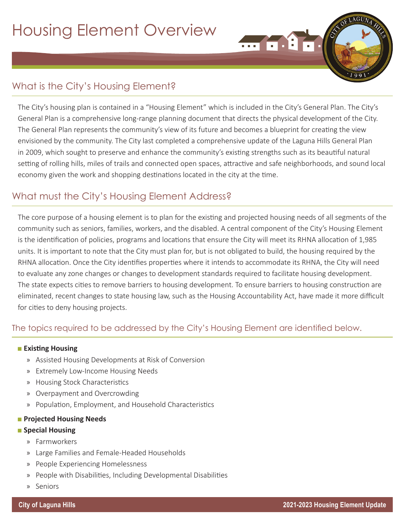# What is the City's Housing Element?

The City's housing plan is contained in a "Housing Element" which is included in the City's General Plan. The City's General Plan is a comprehensive long-range planning document that directs the physical development of the City. The General Plan represents the community's view of its future and becomes a blueprint for creating the view envisioned by the community. The City last completed a comprehensive update of the Laguna Hills General Plan in 2009, which sought to preserve and enhance the community's existing strengths such as its beautiful natural setting of rolling hills, miles of trails and connected open spaces, attractive and safe neighborhoods, and sound local economy given the work and shopping destinations located in the city at the time.

## What must the City's Housing Element Address?

The core purpose of a housing element is to plan for the existing and projected housing needs of all segments of the community such as seniors, families, workers, and the disabled. A central component of the City's Housing Element is the identification of policies, programs and locations that ensure the City will meet its RHNA allocation of 1,985 units. It is important to note that the City must plan for, but is not obligated to build, the housing required by the RHNA allocation. Once the City identifies properties where it intends to accommodate its RHNA, the City will need to evaluate any zone changes or changes to development standards required to facilitate housing development. The state expects cities to remove barriers to housing development. To ensure barriers to housing construction are eliminated, recent changes to state housing law, such as the Housing Accountability Act, have made it more difficult for cities to deny housing projects.

### The topics required to be addressed by the City's Housing Element are identified below.

#### ■ Existing Housing

- » Assisted Housing Developments at Risk of Conversion
- » Extremely Low-Income Housing Needs
- » Housing Stock Characteristics
- » Overpayment and Overcrowding
- » Population, Employment, and Household Characteristics

#### ■ Projected Housing Needs

#### ■ Special Housing

- » Farmworkers
- » Large Families and Female-Headed Households
- » People Experiencing Homelessness
- » People with Disabilities, Including Developmental Disabilities
- » Seniors

LAGU

 $\overline{...}$   $\overline{...}$   $\overline{...}$   $\overline{...}$